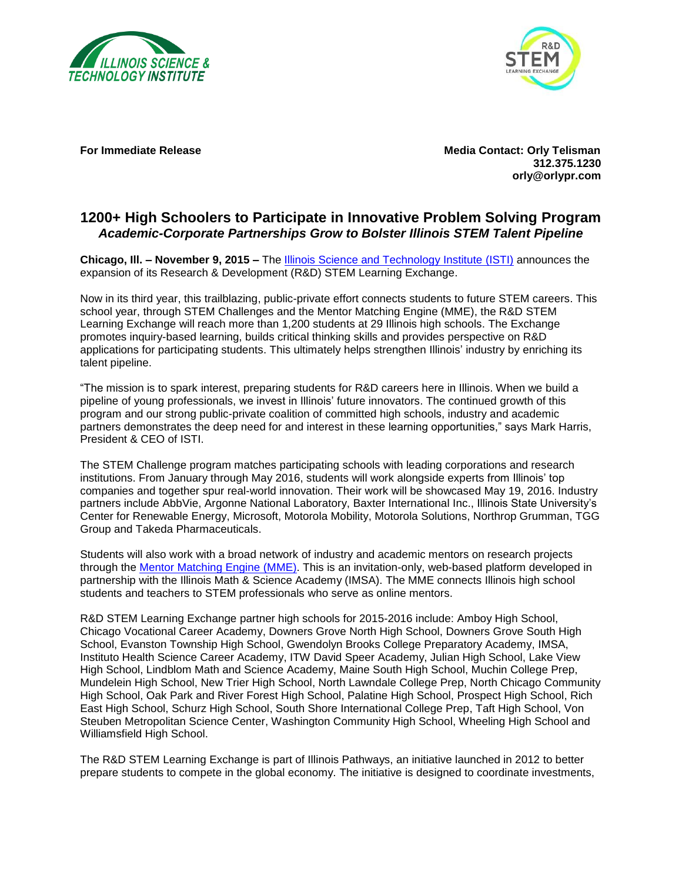



**For Immediate Release Media Contact: Orly Telisman 312.375.1230 orly@orlypr.com**

## **1200+ High Schoolers to Participate in Innovative Problem Solving Program** *Academic-Corporate Partnerships Grow to Bolster Illinois STEM Talent Pipeline*

**Chicago, Ill. – November 9, 2015 –** The [Illinois Science and Technology Institute](http://www.istcoalition.org/the-institute) (ISTI) announces the expansion of its Research & Development (R&D) STEM Learning Exchange.

Now in its third year, this trailblazing, public-private effort connects students to future STEM careers. This school year, through STEM Challenges and the Mentor Matching Engine (MME), the R&D STEM Learning Exchange will reach more than 1,200 students at 29 Illinois high schools. The Exchange promotes inquiry-based learning, builds critical thinking skills and provides perspective on R&D applications for participating students. This ultimately helps strengthen Illinois' industry by enriching its talent pipeline.

"The mission is to spark interest, preparing students for R&D careers here in Illinois. When we build a pipeline of young professionals, we invest in Illinois' future innovators. The continued growth of this program and our strong public-private coalition of committed high schools, industry and academic partners demonstrates the deep need for and interest in these learning opportunities," says Mark Harris, President & CEO of ISTI.

The STEM Challenge program matches participating schools with leading corporations and research institutions. From January through May 2016, students will work alongside experts from Illinois' top companies and together spur real-world innovation. Their work will be showcased May 19, 2016. Industry partners include AbbVie, Argonne National Laboratory, Baxter International Inc., Illinois State University's Center for Renewable Energy, Microsoft, Motorola Mobility, Motorola Solutions, Northrop Grumman, TGG Group and Takeda Pharmaceuticals.

Students will also work with a broad network of industry and academic mentors on research projects through the [Mentor Matching Engine](http://www.mentormatchingengine.org/) (MME). This is an invitation-only, web-based platform developed in partnership with the Illinois Math & Science Academy (IMSA). The MME connects Illinois high school students and teachers to STEM professionals who serve as online mentors.

R&D STEM Learning Exchange partner high schools for 2015-2016 include: Amboy High School, Chicago Vocational Career Academy, Downers Grove North High School, Downers Grove South High School, Evanston Township High School, Gwendolyn Brooks College Preparatory Academy, IMSA, Instituto Health Science Career Academy, ITW David Speer Academy, Julian High School, Lake View High School, Lindblom Math and Science Academy, Maine South High School, Muchin College Prep, Mundelein High School, New Trier High School, North Lawndale College Prep, North Chicago Community High School, Oak Park and River Forest High School, Palatine High School, Prospect High School, Rich East High School, Schurz High School, South Shore International College Prep, Taft High School, Von Steuben Metropolitan Science Center, Washington Community High School, Wheeling High School and Williamsfield High School.

The R&D STEM Learning Exchange is part of Illinois Pathways, an initiative launched in 2012 to better prepare students to compete in the global economy. The initiative is designed to coordinate investments,